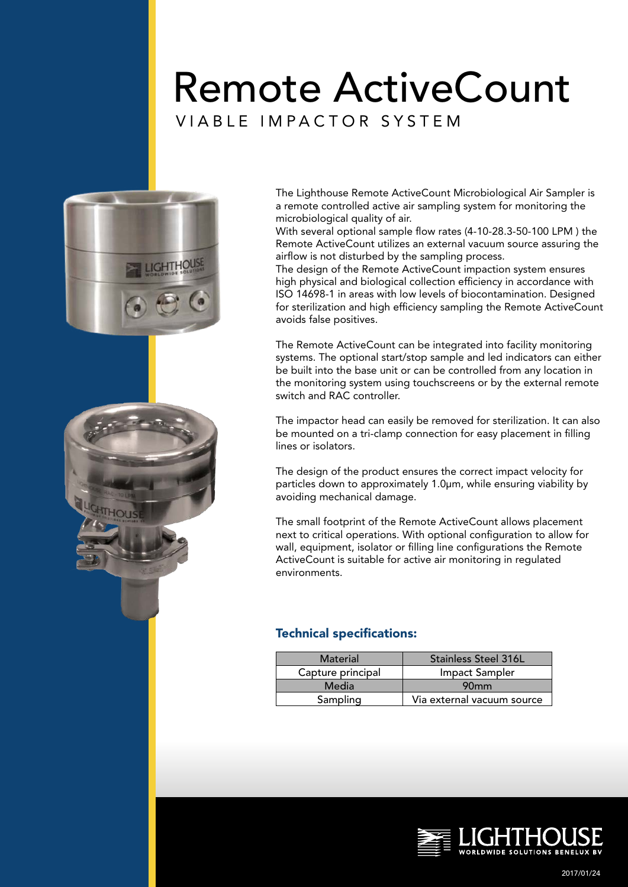# Remote ActiveCount





The Lighthouse Remote ActiveCount Microbiological Air Sampler is a remote controlled active air sampling system for monitoring the microbiological quality of air.

With several optional sample flow rates (4-10-28.3-50-100 LPM ) the Remote ActiveCount utilizes an external vacuum source assuring the airflow is not disturbed by the sampling process.

The design of the Remote ActiveCount impaction system ensures high physical and biological collection efficiency in accordance with ISO 14698-1 in areas with low levels of biocontamination. Designed for sterilization and high efficiency sampling the Remote ActiveCount avoids false positives.

The Remote ActiveCount can be integrated into facility monitoring systems. The optional start/stop sample and led indicators can either be built into the base unit or can be controlled from any location in the monitoring system using touchscreens or by the external remote switch and RAC controller.

The impactor head can easily be removed for sterilization. It can also be mounted on a tri-clamp connection for easy placement in filling lines or isolators.

The design of the product ensures the correct impact velocity for particles down to approximately 1.0µm, while ensuring viability by avoiding mechanical damage.

The small footprint of the Remote ActiveCount allows placement next to critical operations. With optional configuration to allow for wall, equipment, isolator or filling line configurations the Remote ActiveCount is suitable for active air monitoring in regulated environments.

### Technical specifications:

| Material          | <b>Stainless Steel 316L</b> |  |
|-------------------|-----------------------------|--|
| Capture principal | Impact Sampler              |  |
| Media             | 90 <sub>mm</sub>            |  |
| Sampling          | Via external vacuum source  |  |